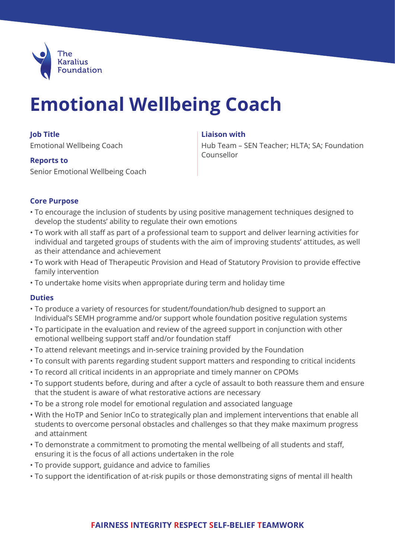

# **Emotional Wellbeing Coach**

#### **Job Title**

Emotional Wellbeing Coach

#### **Reports to**

Senior Emotional Wellbeing Coach

### **Liaison with**

Hub Team – SEN Teacher; HLTA; SA; Foundation Counsellor

# **Core Purpose**

- To encourage the inclusion of students by using positive management techniques designed to develop the students' ability to regulate their own emotions
- To work with all staff as part of a professional team to support and deliver learning activities for individual and targeted groups of students with the aim of improving students' attitudes, as well as their attendance and achievement
- To work with Head of Therapeutic Provision and Head of Statutory Provision to provide effective family intervention
- To undertake home visits when appropriate during term and holiday time

# **Duties**

- To produce a variety of resources for student/foundation/hub designed to support an Individual's SEMH programme and/or support whole foundation positive regulation systems
- To participate in the evaluation and review of the agreed support in conjunction with other emotional wellbeing support staff and/or foundation staff
- To attend relevant meetings and in-service training provided by the Foundation
- To consult with parents regarding student support matters and responding to critical incidents
- To record all critical incidents in an appropriate and timely manner on CPOMs
- To support students before, during and after a cycle of assault to both reassure them and ensure that the student is aware of what restorative actions are necessary
- To be a strong role model for emotional regulation and associated language
- With the HoTP and Senior InCo to strategically plan and implement interventions that enable all students to overcome personal obstacles and challenges so that they make maximum progress and attainment
- To demonstrate a commitment to promoting the mental wellbeing of all students and staff, ensuring it is the focus of all actions undertaken in the role
- To provide support, guidance and advice to families
- To support the identification of at-risk pupils or those demonstrating signs of mental ill health